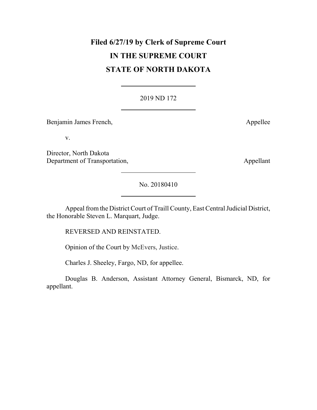# **Filed 6/27/19 by Clerk of Supreme Court IN THE SUPREME COURT STATE OF NORTH DAKOTA**

# 2019 ND 172

Benjamin James French, Appellee

v.

Director, North Dakota Department of Transportation, Appellant

No. 20180410

Appeal from the District Court of Traill County, East Central Judicial District, the Honorable Steven L. Marquart, Judge.

REVERSED AND REINSTATED.

Opinion of the Court by McEvers, Justice.

Charles J. Sheeley, Fargo, ND, for appellee.

Douglas B. Anderson, Assistant Attorney General, Bismarck, ND, for appellant.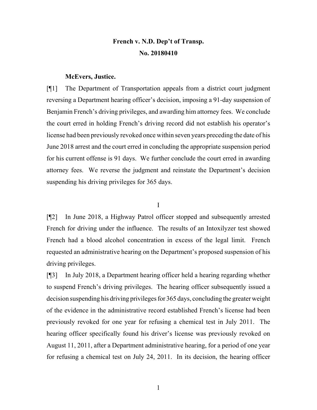# **French v. N.D. Dep't of Transp. No. 20180410**

#### **McEvers, Justice.**

[¶1] The Department of Transportation appeals from a district court judgment reversing a Department hearing officer's decision, imposing a 91-day suspension of Benjamin French's driving privileges, and awarding him attorney fees. We conclude the court erred in holding French's driving record did not establish his operator's license had been previously revoked once within seven years preceding the date of his June 2018 arrest and the court erred in concluding the appropriate suspension period for his current offense is 91 days. We further conclude the court erred in awarding attorney fees. We reverse the judgment and reinstate the Department's decision suspending his driving privileges for 365 days.

I

[¶2] In June 2018, a Highway Patrol officer stopped and subsequently arrested French for driving under the influence. The results of an Intoxilyzer test showed French had a blood alcohol concentration in excess of the legal limit. French requested an administrative hearing on the Department's proposed suspension of his driving privileges.

[¶3] In July 2018, a Department hearing officer held a hearing regarding whether to suspend French's driving privileges. The hearing officer subsequently issued a decision suspending his driving privileges for 365 days, concluding the greater weight of the evidence in the administrative record established French's license had been previously revoked for one year for refusing a chemical test in July 2011. The hearing officer specifically found his driver's license was previously revoked on August 11, 2011, after a Department administrative hearing, for a period of one year for refusing a chemical test on July 24, 2011. In its decision, the hearing officer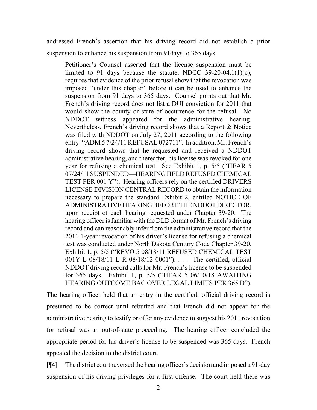addressed French's assertion that his driving record did not establish a prior suspension to enhance his suspension from 91days to 365 days:

Petitioner's Counsel asserted that the license suspension must be limited to 91 days because the statute, NDCC 39-20-04.1(1)(c), requires that evidence of the prior refusal show that the revocation was imposed "under this chapter" before it can be used to enhance the suspension from 91 days to 365 days. Counsel points out that Mr. French's driving record does not list a DUI conviction for 2011 that would show the county or state of occurrence for the refusal. No NDDOT witness appeared for the administrative hearing. Nevertheless, French's driving record shows that a Report & Notice was filed with NDDOT on July 27, 2011 according to the following entry: "ADM 5 7/24/11 REFUSAL 072711". In addition, Mr. French's driving record shows that he requested and received a NDDOT administrative hearing, and thereafter, his license was revoked for one year for refusing a chemical test. See Exhibit 1, p. 5/5 ("HEAR 5 07/24/11 SUSPENDED—HEARING HELD REFUSED CHEMICAL TEST PER 001 Y"). Hearing officers rely on the certified DRIVERS LICENSE DIVISION CENTRAL RECORD to obtain the information necessary to prepare the standard Exhibit 2, entitled NOTICE OF ADMINISTRATIVE HEARING BEFORE THE NDDOT DIRECTOR, upon receipt of each hearing requested under Chapter 39-20. The hearing officer is familiar with the DLD format of Mr. French's driving record and can reasonably infer from the administrative record that the 2011 1-year revocation of his driver's license for refusing a chemical test was conducted under North Dakota Century Code Chapter 39-20. Exhibit 1, p. 5/5 ("REVO 5 08/18/11 REFUSED CHEMICAL TEST 001Y L 08/18/11 L R 08/18/12 0001"). . . . The certified, official NDDOT driving record calls for Mr. French's license to be suspended for 365 days. Exhibit 1, p. 5/5 ("HEAR 5 06/10/18 AWAITING HEARING OUTCOME BAC OVER LEGAL LIMITS PER 365 D").

The hearing officer held that an entry in the certified, official driving record is presumed to be correct until rebutted and that French did not appear for the administrative hearing to testify or offer any evidence to suggest his 2011 revocation for refusal was an out-of-state proceeding. The hearing officer concluded the appropriate period for his driver's license to be suspended was 365 days. French appealed the decision to the district court.

[¶4] The district court reversed the hearing officer's decision and imposed a 91-day suspension of his driving privileges for a first offense. The court held there was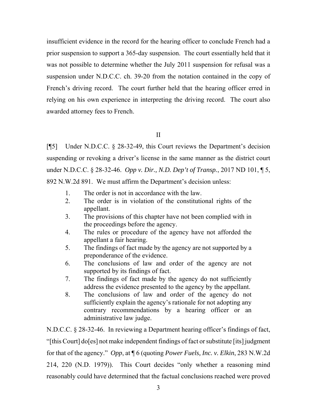insufficient evidence in the record for the hearing officer to conclude French had a prior suspension to support a 365-day suspension. The court essentially held that it was not possible to determine whether the July 2011 suspension for refusal was a suspension under N.D.C.C. ch. 39-20 from the notation contained in the copy of French's driving record. The court further held that the hearing officer erred in relying on his own experience in interpreting the driving record. The court also awarded attorney fees to French.

## II

[¶5] Under N.D.C.C. § 28-32-49, this Court reviews the Department's decision suspending or revoking a driver's license in the same manner as the district court under N.D.C.C. § 28-32-46. *Opp v. Dir., N.D. Dep't of Transp.*, 2017 ND 101, ¶ 5, 892 N.W.2d 891. We must affirm the Department's decision unless:

- 1. The order is not in accordance with the law.
- 2. The order is in violation of the constitutional rights of the appellant.
- 3. The provisions of this chapter have not been complied with in the proceedings before the agency.
- 4. The rules or procedure of the agency have not afforded the appellant a fair hearing.
- 5. The findings of fact made by the agency are not supported by a preponderance of the evidence.
- 6. The conclusions of law and order of the agency are not supported by its findings of fact.
- 7. The findings of fact made by the agency do not sufficiently address the evidence presented to the agency by the appellant.
- 8. The conclusions of law and order of the agency do not sufficiently explain the agency's rationale for not adopting any contrary recommendations by a hearing officer or an administrative law judge.

N.D.C.C. § 28-32-46. In reviewing a Department hearing officer's findings of fact, "[this Court] do[es] not make independent findings of fact or substitute [its] judgment for that of the agency." *Opp*, at ¶ 6 (quoting *Power Fuels, Inc. v. Elkin*, 283 N.W.2d 214, 220 (N.D. 1979)). This Court decides "only whether a reasoning mind reasonably could have determined that the factual conclusions reached were proved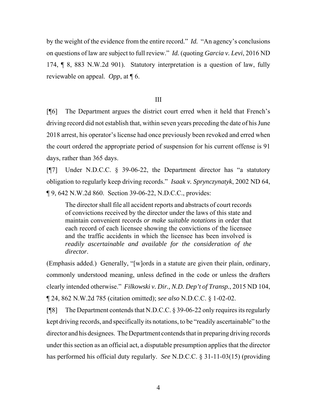by the weight of the evidence from the entire record." *Id.* "An agency's conclusions on questions of law are subject to full review." *Id.* (quoting *Garcia v. Levi*, 2016 ND 174, ¶ 8, 883 N.W.2d 901). Statutory interpretation is a question of law, fully reviewable on appeal. *Opp*, at ¶ 6.

#### III

[¶6] The Department argues the district court erred when it held that French's driving record did not establish that, within seven years preceding the date of his June 2018 arrest, his operator's license had once previously been revoked and erred when the court ordered the appropriate period of suspension for his current offense is 91 days, rather than 365 days.

[¶7] Under N.D.C.C. § 39-06-22, the Department director has "a statutory obligation to regularly keep driving records." *Isaak v. Sprynczynatyk*, 2002 ND 64, ¶ 9, 642 N.W.2d 860. Section 39-06-22, N.D.C.C., provides:

The director shall file all accident reports and abstracts of court records of convictions received by the director under the laws of this state and maintain convenient records *or make suitable notations* in order that each record of each licensee showing the convictions of the licensee and the traffic accidents in which the licensee has been involved is *readily ascertainable and available for the consideration of the director*.

(Emphasis added.) Generally, "[w]ords in a statute are given their plain, ordinary, commonly understood meaning, unless defined in the code or unless the drafters clearly intended otherwise." *Filkowski v. Dir., N.D. Dep't of Transp.*, 2015 ND 104, ¶ 24, 862 N.W.2d 785 (citation omitted); *see also* N.D.C.C. § 1-02-02.

[¶8] The Department contends that N.D.C.C. § 39-06-22 only requires its regularly kept driving records, and specifically its notations, to be "readily ascertainable" to the director and his designees. The Department contends that in preparing driving records under this section as an official act, a disputable presumption applies that the director has performed his official duty regularly. *See* N.D.C.C. § 31-11-03(15) (providing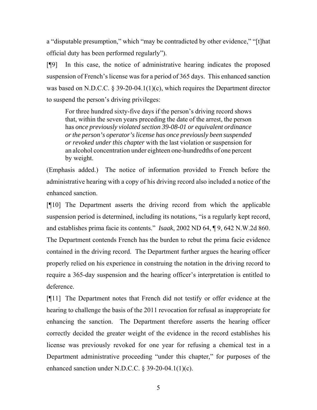a "disputable presumption," which "may be contradicted by other evidence," "[t]hat official duty has been performed regularly").

[¶9] In this case, the notice of administrative hearing indicates the proposed suspension of French's license was for a period of 365 days. This enhanced sanction was based on N.D.C.C. § 39-20-04.1(1)(c), which requires the Department director to suspend the person's driving privileges:

For three hundred sixty-five days if the person's driving record shows that, within the seven years preceding the date of the arrest, the person has *once previously violated section 39-08-01 or equivalent ordinance or the person's operator's license has once previously been suspended or revoked under this chapter* with the last violation or suspension for an alcohol concentration under eighteen one-hundredths of one percent by weight.

(Emphasis added.) The notice of information provided to French before the administrative hearing with a copy of his driving record also included a notice of the enhanced sanction.

[¶10] The Department asserts the driving record from which the applicable suspension period is determined, including its notations, "is a regularly kept record, and establishes prima facie its contents." *Isaak*, 2002 ND 64, ¶ 9, 642 N.W.2d 860. The Department contends French has the burden to rebut the prima facie evidence contained in the driving record. The Department further argues the hearing officer properly relied on his experience in construing the notation in the driving record to require a 365-day suspension and the hearing officer's interpretation is entitled to deference.

[¶11] The Department notes that French did not testify or offer evidence at the hearing to challenge the basis of the 2011 revocation for refusal as inappropriate for enhancing the sanction. The Department therefore asserts the hearing officer correctly decided the greater weight of the evidence in the record establishes his license was previously revoked for one year for refusing a chemical test in a Department administrative proceeding "under this chapter," for purposes of the enhanced sanction under N.D.C.C. § 39-20-04.1(1)(c).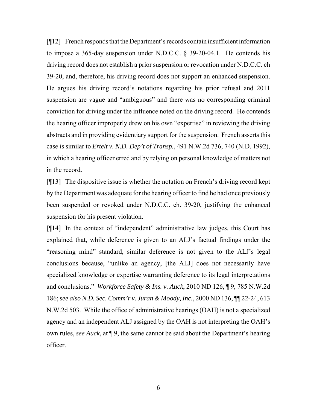[¶12] French responds that the Department's records contain insufficient information to impose a 365-day suspension under N.D.C.C. § 39-20-04.1. He contends his driving record does not establish a prior suspension or revocation under N.D.C.C. ch 39-20, and, therefore, his driving record does not support an enhanced suspension. He argues his driving record's notations regarding his prior refusal and 2011 suspension are vague and "ambiguous" and there was no corresponding criminal conviction for driving under the influence noted on the driving record. He contends the hearing officer improperly drew on his own "expertise" in reviewing the driving abstracts and in providing evidentiary support for the suspension. French asserts this case is similar to *Ertelt v. N.D. Dep't of Transp.*, 491 N.W.2d 736, 740 (N.D. 1992), in which a hearing officer erred and by relying on personal knowledge of matters not in the record.

[¶13] The dispositive issue is whether the notation on French's driving record kept by the Department was adequate for the hearing officer to find he had once previously been suspended or revoked under N.D.C.C. ch. 39-20, justifying the enhanced suspension for his present violation.

[¶14] In the context of "independent" administrative law judges, this Court has explained that, while deference is given to an ALJ's factual findings under the "reasoning mind" standard, similar deference is not given to the ALJ's legal conclusions because, "unlike an agency, [the ALJ] does not necessarily have specialized knowledge or expertise warranting deference to its legal interpretations and conclusions." *Workforce Safety & Ins. v. Auck*, 2010 ND 126, ¶ 9, 785 N.W.2d 186; *see also N.D. Sec. Comm'r v. Juran & Moody, Inc.*, 2000 ND 136, ¶¶ 22-24, 613 N.W.2d 503. While the office of administrative hearings (OAH) is not a specialized agency and an independent ALJ assigned by the OAH is not interpreting the OAH's own rules, *see Auck*, at ¶ 9, the same cannot be said about the Department's hearing officer.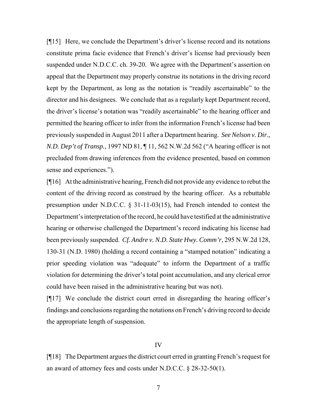[¶15] Here, we conclude the Department's driver's license record and its notations constitute prima facie evidence that French's driver's license had previously been suspended under N.D.C.C. ch. 39-20. We agree with the Department's assertion on appeal that the Department may properly construe its notations in the driving record kept by the Department, as long as the notation is "readily ascertainable" to the director and his designees. We conclude that as a regularly kept Department record, the driver's license's notation was "readily ascertainable" to the hearing officer and permitted the hearing officer to infer from the information French's license had been previously suspended in August 2011 after a Department hearing. *See Nelson v. Dir., N.D. Dep't of Transp.*, 1997 ND 81, ¶ 11, 562 N.W.2d 562 ("A hearing officer is not precluded from drawing inferences from the evidence presented, based on common sense and experiences.").

[¶16] At the administrative hearing, French did not provide any evidence to rebut the content of the driving record as construed by the hearing officer. As a rebuttable presumption under N.D.C.C. § 31-11-03(15), had French intended to contest the Department's interpretation of the record, he could have testified at the administrative hearing or otherwise challenged the Department's record indicating his license had been previously suspended. *Cf. Andre v. N.D. State Hwy. Comm'r*, 295 N.W.2d 128, 130-31 (N.D. 1980) (holding a record containing a "stamped notation" indicating a prior speeding violation was "adequate" to inform the Department of a traffic violation for determining the driver's total point accumulation, and any clerical error could have been raised in the administrative hearing but was not).

[¶17] We conclude the district court erred in disregarding the hearing officer's findings and conclusions regarding the notations on French's driving record to decide the appropriate length of suspension.

#### IV

[¶18] The Department argues the district court erred in granting French's request for an award of attorney fees and costs under N.D.C.C. § 28-32-50(1).